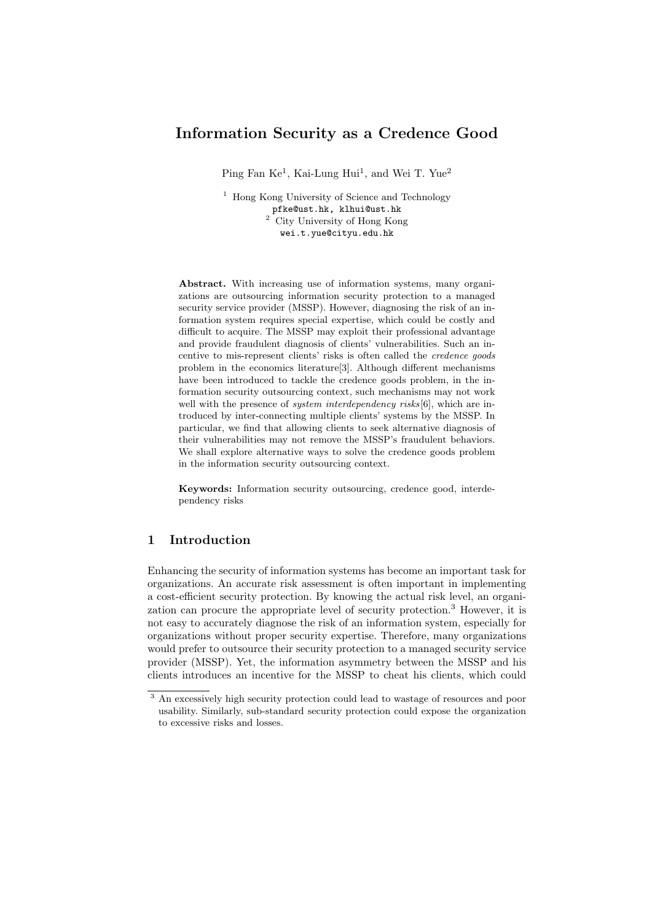# Information Security as a Credence Good

Ping Fan  $\text{Ke}^1$ , Kai-Lung Hui<sup>1</sup>, and Wei T. Yue<sup>2</sup>

<sup>1</sup> Hong Kong University of Science and Technology pfke@ust.hk, klhui@ust.hk <sup>2</sup> City University of Hong Kong wei.t.yue@cityu.edu.hk

Abstract. With increasing use of information systems, many organizations are outsourcing information security protection to a managed security service provider (MSSP). However, diagnosing the risk of an information system requires special expertise, which could be costly and difficult to acquire. The MSSP may exploit their professional advantage and provide fraudulent diagnosis of clients' vulnerabilities. Such an incentive to mis-represent clients' risks is often called the credence goods problem in the economics literature[3]. Although different mechanisms have been introduced to tackle the credence goods problem, in the information security outsourcing context, such mechanisms may not work well with the presence of *system interdependency risks*[6], which are introduced by inter-connecting multiple clients' systems by the MSSP. In particular, we find that allowing clients to seek alternative diagnosis of their vulnerabilities may not remove the MSSP's fraudulent behaviors. We shall explore alternative ways to solve the credence goods problem in the information security outsourcing context.

Keywords: Information security outsourcing, credence good, interdependency risks

### 1 Introduction

Enhancing the security of information systems has become an important task for organizations. An accurate risk assessment is often important in implementing a cost-efficient security protection. By knowing the actual risk level, an organization can procure the appropriate level of security protection.<sup>3</sup> However, it is not easy to accurately diagnose the risk of an information system, especially for organizations without proper security expertise. Therefore, many organizations would prefer to outsource their security protection to a managed security service provider (MSSP). Yet, the information asymmetry between the MSSP and his clients introduces an incentive for the MSSP to cheat his clients, which could

<sup>3</sup> An excessively high security protection could lead to wastage of resources and poor usability. Similarly, sub-standard security protection could expose the organization to excessive risks and losses.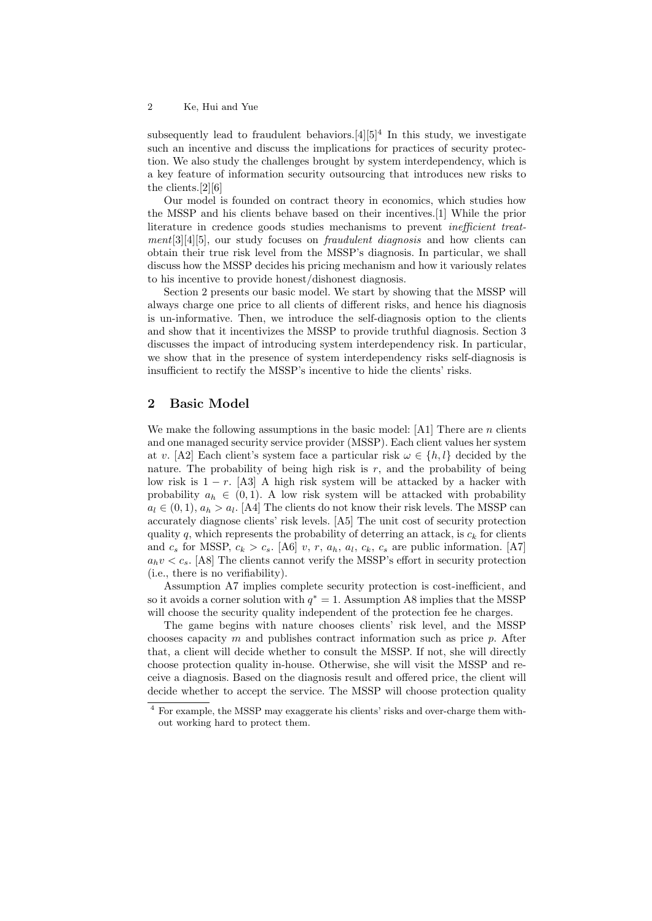subsequently lead to fraudulent behaviors. $[4][5]^4$  In this study, we investigate such an incentive and discuss the implications for practices of security protection. We also study the challenges brought by system interdependency, which is a key feature of information security outsourcing that introduces new risks to the clients.[2][6]

Our model is founded on contract theory in economics, which studies how the MSSP and his clients behave based on their incentives.[1] While the prior literature in credence goods studies mechanisms to prevent inefficient treat $ment[3][4][5]$ , our study focuses on *fraudulent diagnosis* and how clients can obtain their true risk level from the MSSP's diagnosis. In particular, we shall discuss how the MSSP decides his pricing mechanism and how it variously relates to his incentive to provide honest/dishonest diagnosis.

Section 2 presents our basic model. We start by showing that the MSSP will always charge one price to all clients of different risks, and hence his diagnosis is un-informative. Then, we introduce the self-diagnosis option to the clients and show that it incentivizes the MSSP to provide truthful diagnosis. Section 3 discusses the impact of introducing system interdependency risk. In particular, we show that in the presence of system interdependency risks self-diagnosis is insufficient to rectify the MSSP's incentive to hide the clients' risks.

## 2 Basic Model

We make the following assumptions in the basic model:  $[A1]$  There are n clients and one managed security service provider (MSSP). Each client values her system at v. [A2] Each client's system face a particular risk  $\omega \in \{h, l\}$  decided by the nature. The probability of being high risk is  $r$ , and the probability of being low risk is  $1 - r$ . [A3] A high risk system will be attacked by a hacker with probability  $a_h \in (0,1)$ . A low risk system will be attacked with probability  $a_l \in (0,1), a_h > a_l$ . [A4] The clients do not know their risk levels. The MSSP can accurately diagnose clients' risk levels. [A5] The unit cost of security protection quality q, which represents the probability of deterring an attack, is  $c_k$  for clients and  $c_s$  for MSSP,  $c_k > c_s$ . [A6] v, r,  $a_h$ ,  $a_l$ ,  $c_k$ ,  $c_s$  are public information. [A7]  $a_h v < c_s$ . [A8] The clients cannot verify the MSSP's effort in security protection (i.e., there is no verifiability).

Assumption A7 implies complete security protection is cost-inefficient, and so it avoids a corner solution with  $q^* = 1$ . Assumption A8 implies that the MSSP will choose the security quality independent of the protection fee he charges.

The game begins with nature chooses clients' risk level, and the MSSP chooses capacity  $m$  and publishes contract information such as price  $p$ . After that, a client will decide whether to consult the MSSP. If not, she will directly choose protection quality in-house. Otherwise, she will visit the MSSP and receive a diagnosis. Based on the diagnosis result and offered price, the client will decide whether to accept the service. The MSSP will choose protection quality

<sup>4</sup> For example, the MSSP may exaggerate his clients' risks and over-charge them without working hard to protect them.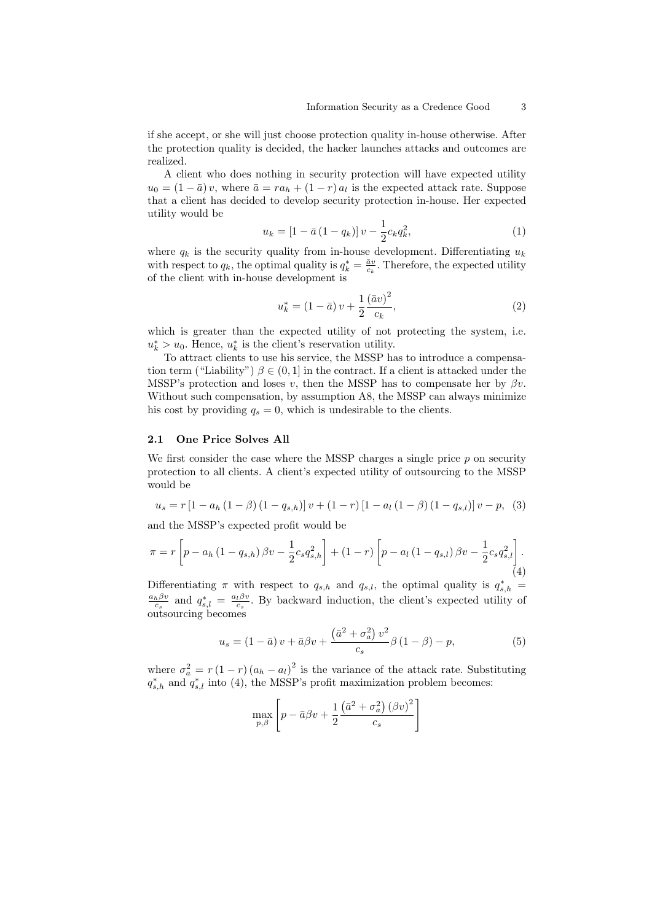if she accept, or she will just choose protection quality in-house otherwise. After the protection quality is decided, the hacker launches attacks and outcomes are realized.

A client who does nothing in security protection will have expected utility  $u_0 = (1 - \bar{a}) v$ , where  $\bar{a} = r a_h + (1 - r) a_l$  is the expected attack rate. Suppose that a client has decided to develop security protection in-house. Her expected utility would be

$$
u_k = [1 - \bar{a} (1 - q_k)] v - \frac{1}{2} c_k q_k^2,
$$
\n(1)

where  $q_k$  is the security quality from in-house development. Differentiating  $u_k$ with respect to  $q_k$ , the optimal quality is  $q_k^* = \frac{\bar{a}v}{c_k}$ . Therefore, the expected utility of the client with in-house development is

$$
u_k^* = (1 - \bar{a}) v + \frac{1}{2} \frac{(\bar{a}v)^2}{c_k},
$$
\n(2)

which is greater than the expected utility of not protecting the system, i.e.  $u_k^* > u_0$ . Hence,  $u_k^*$  is the client's reservation utility.

To attract clients to use his service, the MSSP has to introduce a compensation term ("Liability")  $\beta \in (0,1]$  in the contract. If a client is attacked under the MSSP's protection and loses v, then the MSSP has to compensate her by  $\beta v$ . Without such compensation, by assumption A8, the MSSP can always minimize his cost by providing  $q_s = 0$ , which is undesirable to the clients.

#### 2.1 One Price Solves All

We first consider the case where the MSSP charges a single price  $p$  on security protection to all clients. A client's expected utility of outsourcing to the MSSP would be

$$
u_s = r [1 - a_h (1 - \beta) (1 - q_{s,h})] v + (1 - r) [1 - a_l (1 - \beta) (1 - q_{s,l})] v - p, (3)
$$

and the MSSP's expected profit would be

$$
\pi = r \left[ p - a_h \left( 1 - q_{s,h} \right) \beta v - \frac{1}{2} c_s q_{s,h}^2 \right] + (1 - r) \left[ p - a_l \left( 1 - q_{s,l} \right) \beta v - \frac{1}{2} c_s q_{s,l}^2 \right].
$$
\n(4)

Differentiating  $\pi$  with respect to  $q_{s,h}$  and  $q_{s,l}$ , the optimal quality is  $q_{s,h}^*$  =  $\frac{a_h\beta v}{c_s}$  and  $q_{s,l}^* = \frac{a_l\beta v}{c_s}$ . By backward induction, the client's expected utility of outsourcing becomes

$$
u_s = (1 - \bar{a})v + \bar{a}\beta v + \frac{(\bar{a}^2 + \sigma_a^2)v^2}{c_s}\beta(1 - \beta) - p,\tag{5}
$$

where  $\sigma_a^2 = r(1-r)(a_h - a_l)^2$  is the variance of the attack rate. Substituting  $q_{s,h}^*$  and  $q_{s,l}^*$  into (4), the MSSP's profit maximization problem becomes:

$$
\max_{p,\beta} \left[ p - \bar{a}\beta v + \frac{1}{2} \frac{\left( \bar{a}^2 + \sigma_a^2 \right) (\beta v)^2}{c_s} \right]
$$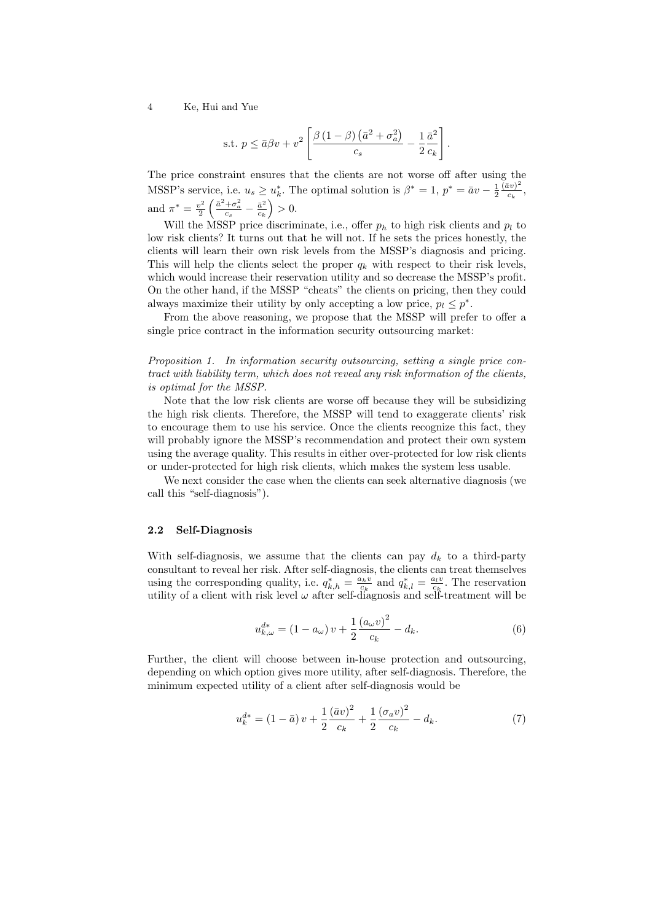s.t. 
$$
p \leq \bar{a}\beta v + v^2 \left[ \frac{\beta (1-\beta) (\bar{a}^2 + \sigma_a^2)}{c_s} - \frac{1}{2} \frac{\bar{a}^2}{c_k} \right].
$$

The price constraint ensures that the clients are not worse off after using the MSSP's service, i.e.  $u_s \ge u_k^*$ . The optimal solution is  $\beta^* = 1$ ,  $p^* = \bar{a}v - \frac{1}{2}$  $(\bar{a}v)^2$  $\frac{1}{c_k}$ , and  $\pi^* = \frac{v^2}{2}$  $\frac{\sigma^2}{2}\left(\frac{\bar{a}^2+\sigma_a^2}{c_s}-\frac{\bar{a}^2}{c_k}\right)$  $\frac{\bar{a}^2}{c_k}\Big)>0.$ 

Will the MSSP price discriminate, i.e., offer  $p_h$  to high risk clients and  $p_l$  to low risk clients? It turns out that he will not. If he sets the prices honestly, the clients will learn their own risk levels from the MSSP's diagnosis and pricing. This will help the clients select the proper  $q_k$  with respect to their risk levels, which would increase their reservation utility and so decrease the MSSP's profit. On the other hand, if the MSSP "cheats" the clients on pricing, then they could always maximize their utility by only accepting a low price,  $p_l \leq p^*$ .

From the above reasoning, we propose that the MSSP will prefer to offer a single price contract in the information security outsourcing market:

Proposition 1. In information security outsourcing, setting a single price contract with liability term, which does not reveal any risk information of the clients, is optimal for the MSSP.

Note that the low risk clients are worse off because they will be subsidizing the high risk clients. Therefore, the MSSP will tend to exaggerate clients' risk to encourage them to use his service. Once the clients recognize this fact, they will probably ignore the MSSP's recommendation and protect their own system using the average quality. This results in either over-protected for low risk clients or under-protected for high risk clients, which makes the system less usable.

We next consider the case when the clients can seek alternative diagnosis (we call this "self-diagnosis").

#### 2.2 Self-Diagnosis

With self-diagnosis, we assume that the clients can pay  $d_k$  to a third-party consultant to reveal her risk. After self-diagnosis, the clients can treat themselves using the corresponding quality, i.e.  $q_{k,h}^* = \frac{a_h v}{c_k}$  and  $q_{k,l}^* = \frac{a_l v}{c_k}$ . The reservation utility of a client with risk level  $\omega$  after self-diagnosis and self-treatment will be

$$
u_{k,\omega}^{d*} = (1 - a_{\omega}) v + \frac{1}{2} \frac{(a_{\omega} v)^2}{c_k} - d_k.
$$
 (6)

Further, the client will choose between in-house protection and outsourcing, depending on which option gives more utility, after self-diagnosis. Therefore, the minimum expected utility of a client after self-diagnosis would be

$$
u_k^{d*} = (1 - \bar{a}) v + \frac{1}{2} \frac{(\bar{a}v)^2}{c_k} + \frac{1}{2} \frac{(\sigma_a v)^2}{c_k} - d_k.
$$
 (7)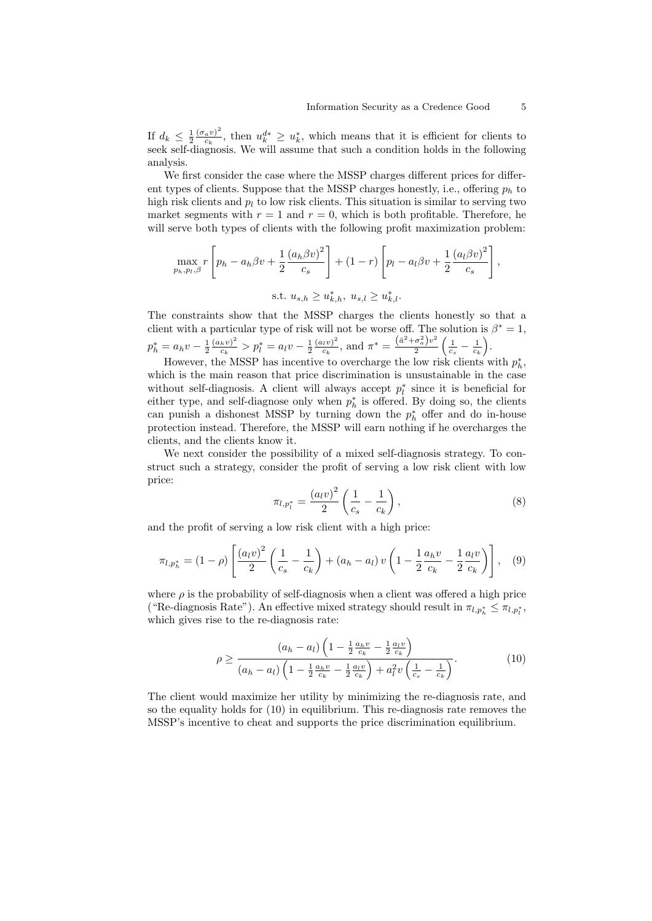If  $d_k \leq \frac{1}{2} \frac{(\sigma_a v)^2}{c_k}$  $\frac{f_a v)^2}{c_k}$ , then  $u_k^{d*} \geq u_k^*$ , which means that it is efficient for clients to seek self-diagnosis. We will assume that such a condition holds in the following analysis.

We first consider the case where the MSSP charges different prices for different types of clients. Suppose that the MSSP charges honestly, i.e., offering  $p_h$  to high risk clients and  $p_l$  to low risk clients. This situation is similar to serving two market segments with  $r = 1$  and  $r = 0$ , which is both profitable. Therefore, he will serve both types of clients with the following profit maximization problem:

$$
\max_{p_h, p_l, \beta} r \left[ p_h - a_h \beta v + \frac{1}{2} \frac{(a_h \beta v)^2}{c_s} \right] + (1 - r) \left[ p_l - a_l \beta v + \frac{1}{2} \frac{(a_l \beta v)^2}{c_s} \right],
$$
  
s.t.  $u_{s,h} \ge u_{k,h}^*$ ,  $u_{s,l} \ge u_{k,l}^*$ .

The constraints show that the MSSP charges the clients honestly so that a client with a particular type of risk will not be worse off. The solution is  $\beta^* = 1$ ,  $p_h^* = a_h v - \frac{1}{2} \frac{(a_h v)^2}{c_k}$  $\frac{(h^{\nu})^2}{c_k} > p_l^* = a_l v - \frac{1}{2} \frac{(a_l v)^2}{c_k}$  $\frac{(u^2)^2}{c_k}$ , and  $\pi^* = \frac{(\bar{a}^2 + \sigma_a^2)v^2}{2}$  $\frac{(\sigma_a^2)v^2}{2}\left(\frac{1}{c_s}-\frac{1}{c_k}\right).$ 

However, the MSSP has incentive to overcharge the low risk clients with  $p_h^*$ , which is the main reason that price discrimination is unsustainable in the case without self-diagnosis. A client will always accept  $p_l^*$  since it is beneficial for either type, and self-diagnose only when  $p_h^*$  is offered. By doing so, the clients can punish a dishonest MSSP by turning down the  $p_h^*$  offer and do in-house protection instead. Therefore, the MSSP will earn nothing if he overcharges the clients, and the clients know it.

We next consider the possibility of a mixed self-diagnosis strategy. To construct such a strategy, consider the profit of serving a low risk client with low price:

$$
\pi_{l,p_l^*} = \frac{(a_l v)^2}{2} \left( \frac{1}{c_s} - \frac{1}{c_k} \right),\tag{8}
$$

and the profit of serving a low risk client with a high price:

$$
\pi_{l,p_h^*} = (1 - \rho) \left[ \frac{(a_l v)^2}{2} \left( \frac{1}{c_s} - \frac{1}{c_k} \right) + (a_h - a_l) v \left( 1 - \frac{1}{2} \frac{a_h v}{c_k} - \frac{1}{2} \frac{a_l v}{c_k} \right) \right], \quad (9)
$$

where  $\rho$  is the probability of self-diagnosis when a client was offered a high price ("Re-diagnosis Rate"). An effective mixed strategy should result in  $\pi_{l,p_h^*} \leq \pi_{l,p_l^*}$ , which gives rise to the re-diagnosis rate:

$$
\rho \ge \frac{(a_h - a_l) \left(1 - \frac{1}{2} \frac{a_h v}{c_k} - \frac{1}{2} \frac{a_l v}{c_k}\right)}{(a_h - a_l) \left(1 - \frac{1}{2} \frac{a_h v}{c_k} - \frac{1}{2} \frac{a_l v}{c_k}\right) + a_l^2 v \left(\frac{1}{c_s} - \frac{1}{c_k}\right)}.
$$
(10)

The client would maximize her utility by minimizing the re-diagnosis rate, and so the equality holds for (10) in equilibrium. This re-diagnosis rate removes the MSSP's incentive to cheat and supports the price discrimination equilibrium.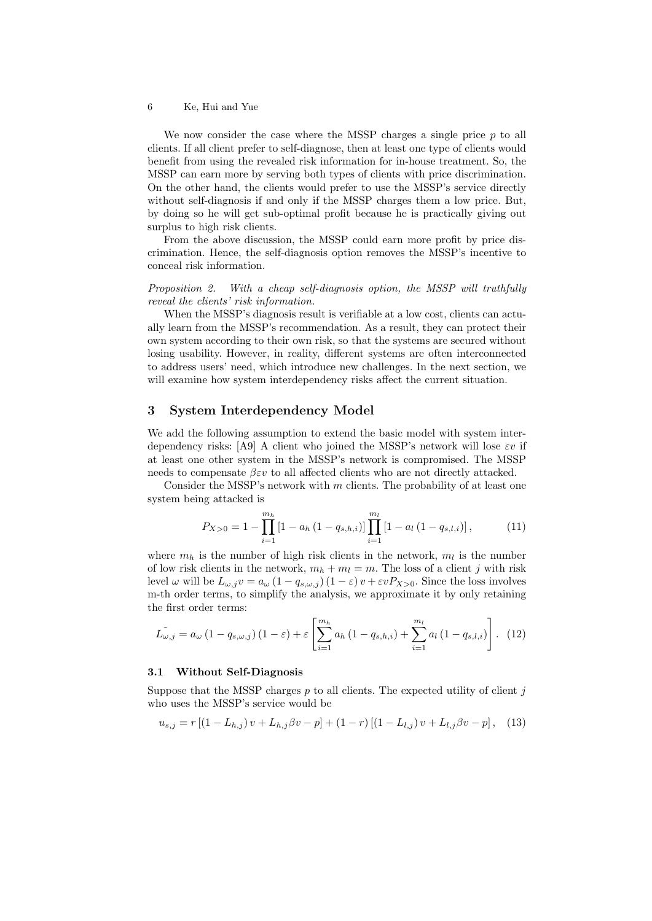We now consider the case where the MSSP charges a single price  $p$  to all clients. If all client prefer to self-diagnose, then at least one type of clients would benefit from using the revealed risk information for in-house treatment. So, the MSSP can earn more by serving both types of clients with price discrimination. On the other hand, the clients would prefer to use the MSSP's service directly without self-diagnosis if and only if the MSSP charges them a low price. But, by doing so he will get sub-optimal profit because he is practically giving out surplus to high risk clients.

From the above discussion, the MSSP could earn more profit by price discrimination. Hence, the self-diagnosis option removes the MSSP's incentive to conceal risk information.

Proposition 2. With a cheap self-diagnosis option, the MSSP will truthfully reveal the clients' risk information.

When the MSSP's diagnosis result is verifiable at a low cost, clients can actually learn from the MSSP's recommendation. As a result, they can protect their own system according to their own risk, so that the systems are secured without losing usability. However, in reality, different systems are often interconnected to address users' need, which introduce new challenges. In the next section, we will examine how system interdependency risks affect the current situation.

#### 3 System Interdependency Model

We add the following assumption to extend the basic model with system interdependency risks: [A9] A client who joined the MSSP's network will lose  $\varepsilon v$  if at least one other system in the MSSP's network is compromised. The MSSP needs to compensate  $\beta \epsilon v$  to all affected clients who are not directly attacked.

Consider the MSSP's network with  $m$  clients. The probability of at least one system being attacked is

$$
P_{X>0} = 1 - \prod_{i=1}^{m_h} \left[1 - a_h \left(1 - q_{s,h,i}\right)\right] \prod_{i=1}^{m_l} \left[1 - a_l \left(1 - q_{s,l,i}\right)\right],\tag{11}
$$

where  $m_h$  is the number of high risk clients in the network,  $m_l$  is the number of low risk clients in the network,  $m_h + m_l = m$ . The loss of a client j with risk level  $\omega$  will be  $L_{\omega,i}v = a_{\omega} (1 - q_{s,\omega,i}) (1 - \varepsilon) v + \varepsilon v P_{X>0}$ . Since the loss involves m-th order terms, to simplify the analysis, we approximate it by only retaining the first order terms:

$$
\tilde{L_{\omega,j}} = a_{\omega} \left( 1 - q_{s,\omega,j} \right) \left( 1 - \varepsilon \right) + \varepsilon \left[ \sum_{i=1}^{m_h} a_h \left( 1 - q_{s,h,i} \right) + \sum_{i=1}^{m_l} a_l \left( 1 - q_{s,l,i} \right) \right]. \tag{12}
$$

#### 3.1 Without Self-Diagnosis

Suppose that the MSSP charges  $p$  to all clients. The expected utility of client  $j$ who uses the MSSP's service would be

$$
u_{s,j} = r [(1 - L_{h,j}) v + L_{h,j} \beta v - p] + (1 - r) [(1 - L_{l,j}) v + L_{l,j} \beta v - p], \quad (13)
$$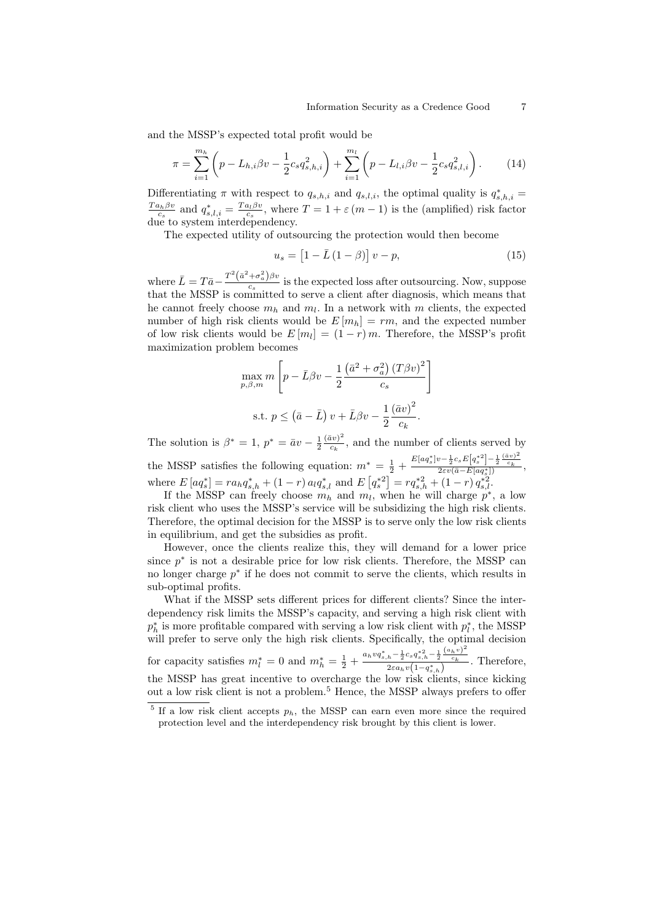and the MSSP's expected total profit would be

$$
\pi = \sum_{i=1}^{m_h} \left( p - L_{h,i} \beta v - \frac{1}{2} c_s q_{s,h,i}^2 \right) + \sum_{i=1}^{m_l} \left( p - L_{l,i} \beta v - \frac{1}{2} c_s q_{s,l,i}^2 \right). \tag{14}
$$

Differentiating  $\pi$  with respect to  $q_{s,h,i}$  and  $q_{s,l,i}$ , the optimal quality is  $q_{s,h,i}^* =$  $\frac{T a_h \beta v}{c_s}$  and  $q_{s,l,i}^* = \frac{T a_l \beta v}{c_s}$ , where  $T = 1 + \varepsilon (m-1)$  is the (amplified) risk factor due to system interdependency.

The expected utility of outsourcing the protection would then become

$$
u_s = \left[1 - \bar{L}\left(1 - \beta\right)\right]v - p,\tag{15}
$$

where  $\bar{L} = T\bar{a} - \frac{T^2(\bar{a}^2 + \sigma_a^2)\beta v}{c}$  $\frac{16a}{c_s}$  is the expected loss after outsourcing. Now, suppose that the MSSP is committed to serve a client after diagnosis, which means that he cannot freely choose  $m_h$  and  $m_l$ . In a network with m clients, the expected number of high risk clients would be  $E[m_h] = rm$ , and the expected number of low risk clients would be  $E[m_l] = (1 - r)m$ . Therefore, the MSSP's profit maximization problem becomes

$$
\max_{p,\beta,m} m \left[ p - \bar{L}\beta v - \frac{1}{2} \frac{\left(\bar{a}^2 + \sigma_a^2\right) \left(T\beta v\right)^2}{c_s} \right]
$$
\n
$$
\text{s.t. } p \leq \left(\bar{a} - \bar{L}\right) v + \bar{L}\beta v - \frac{1}{2} \frac{\left(\bar{a}v\right)^2}{c_k}.
$$

The solution is  $\beta^* = 1$ ,  $p^* = \bar{a}v - \frac{1}{2}$  $(\bar{a}v)^2$  $\frac{dv}{c_k}$ , and the number of clients served by the MSSP satisfies the following equation:  $m^* = \frac{1}{2} + \frac{E[aq_s^*]v - \frac{1}{2}c_sE[q_s^*^2] - \frac{1}{2}\frac{(\bar{a}v)^2}{c_k}}{2\varepsilon v(\bar{a} - E[aq_s^*])}$ , where  $E[aq_s^*]=ra_hq_{s,h}^*+(1-r)a_lq_{s,l}^*$  and  $E[q_s^{*2}]=rq_{s,h}^{*2}+(1-r)q_{s,l}^{*2}$ .

If the MSSP can freely choose  $m_h$  and  $m_l$ , when he will charge  $p^*$ , a low risk client who uses the MSSP's service will be subsidizing the high risk clients. Therefore, the optimal decision for the MSSP is to serve only the low risk clients in equilibrium, and get the subsidies as profit.

However, once the clients realize this, they will demand for a lower price since  $p^*$  is not a desirable price for low risk clients. Therefore, the MSSP can no longer charge  $p^*$  if he does not commit to serve the clients, which results in sub-optimal profits.

What if the MSSP sets different prices for different clients? Since the interdependency risk limits the MSSP's capacity, and serving a high risk client with  $p_h^*$  is more profitable compared with serving a low risk client with  $p_l^*$ , the MSSP will prefer to serve only the high risk clients. Specifically, the optimal decision for capacity satisfies  $m_l^* = 0$  and  $m_h^* = \frac{1}{2} + \frac{a_h v q_{s,h}^* - \frac{1}{2} c_s q_{s,h}^{*2} - \frac{1}{2} \frac{(a_h v)^2}{c_k}}{2 \epsilon a_h v (1 - \sigma^*)}$  $rac{h}{2\varepsilon a_h v(1-q_{s,h}^*)}$ . Therefore, the MSSP has great incentive to overcharge the low risk clients, since kicking out a low risk client is not a problem.<sup>5</sup> Hence, the MSSP always prefers to offer

 $5$  If a low risk client accepts  $p_h$ , the MSSP can earn even more since the required protection level and the interdependency risk brought by this client is lower.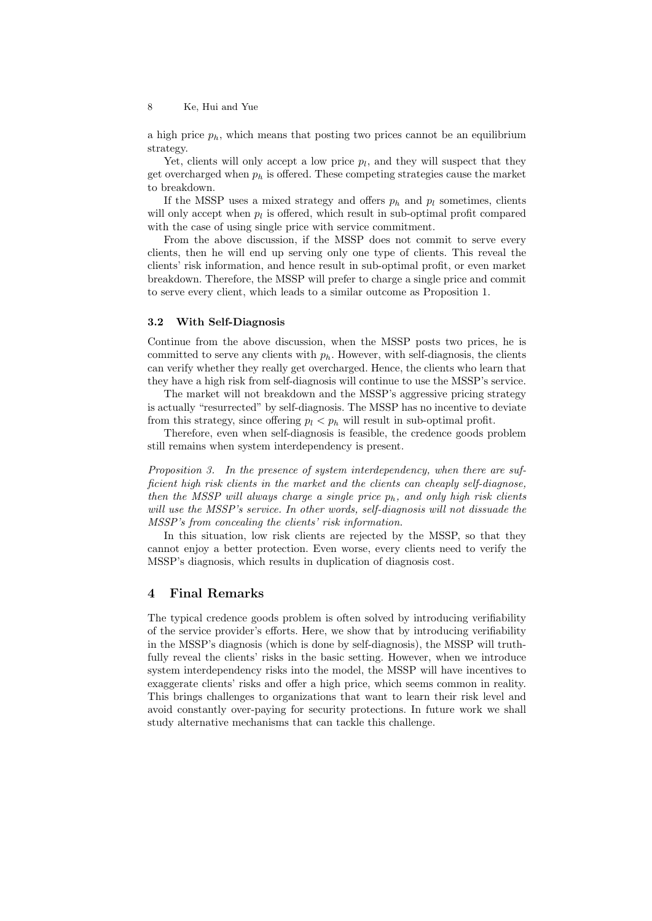a high price  $p_h$ , which means that posting two prices cannot be an equilibrium strategy.

Yet, clients will only accept a low price  $p_l$ , and they will suspect that they get overcharged when  $p_h$  is offered. These competing strategies cause the market to breakdown.

If the MSSP uses a mixed strategy and offers  $p_h$  and  $p_l$  sometimes, clients will only accept when  $p_l$  is offered, which result in sub-optimal profit compared with the case of using single price with service commitment.

From the above discussion, if the MSSP does not commit to serve every clients, then he will end up serving only one type of clients. This reveal the clients' risk information, and hence result in sub-optimal profit, or even market breakdown. Therefore, the MSSP will prefer to charge a single price and commit to serve every client, which leads to a similar outcome as Proposition 1.

#### 3.2 With Self-Diagnosis

Continue from the above discussion, when the MSSP posts two prices, he is committed to serve any clients with  $p<sub>h</sub>$ . However, with self-diagnosis, the clients can verify whether they really get overcharged. Hence, the clients who learn that they have a high risk from self-diagnosis will continue to use the MSSP's service.

The market will not breakdown and the MSSP's aggressive pricing strategy is actually "resurrected" by self-diagnosis. The MSSP has no incentive to deviate from this strategy, since offering  $p_l < p_h$  will result in sub-optimal profit.

Therefore, even when self-diagnosis is feasible, the credence goods problem still remains when system interdependency is present.

Proposition 3. In the presence of system interdependency, when there are sufficient high risk clients in the market and the clients can cheaply self-diagnose, then the MSSP will always charge a single price  $p_h$ , and only high risk clients will use the MSSP's service. In other words, self-diagnosis will not dissuade the MSSP's from concealing the clients' risk information.

In this situation, low risk clients are rejected by the MSSP, so that they cannot enjoy a better protection. Even worse, every clients need to verify the MSSP's diagnosis, which results in duplication of diagnosis cost.

# 4 Final Remarks

The typical credence goods problem is often solved by introducing verifiability of the service provider's efforts. Here, we show that by introducing verifiability in the MSSP's diagnosis (which is done by self-diagnosis), the MSSP will truthfully reveal the clients' risks in the basic setting. However, when we introduce system interdependency risks into the model, the MSSP will have incentives to exaggerate clients' risks and offer a high price, which seems common in reality. This brings challenges to organizations that want to learn their risk level and avoid constantly over-paying for security protections. In future work we shall study alternative mechanisms that can tackle this challenge.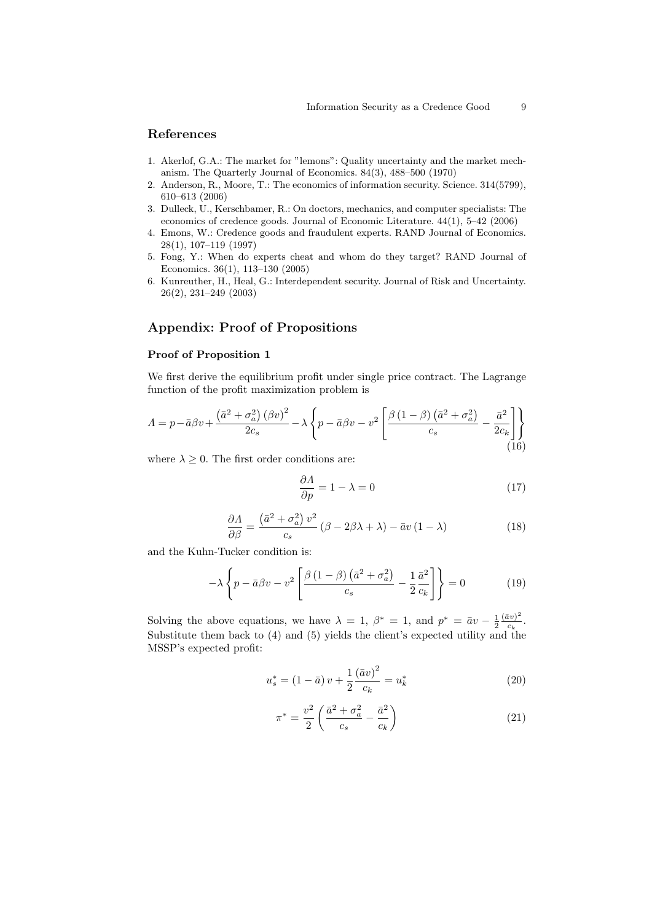### References

- 1. Akerlof, G.A.: The market for "lemons": Quality uncertainty and the market mechanism. The Quarterly Journal of Economics. 84(3), 488–500 (1970)
- 2. Anderson, R., Moore, T.: The economics of information security. Science. 314(5799), 610–613 (2006)
- 3. Dulleck, U., Kerschbamer, R.: On doctors, mechanics, and computer specialists: The economics of credence goods. Journal of Economic Literature. 44(1), 5–42 (2006)
- 4. Emons, W.: Credence goods and fraudulent experts. RAND Journal of Economics. 28(1), 107–119 (1997)
- 5. Fong, Y.: When do experts cheat and whom do they target? RAND Journal of Economics. 36(1), 113–130 (2005)
- 6. Kunreuther, H., Heal, G.: Interdependent security. Journal of Risk and Uncertainty. 26(2), 231–249 (2003)

# Appendix: Proof of Propositions

### Proof of Proposition 1

We first derive the equilibrium profit under single price contract. The Lagrange function of the profit maximization problem is

$$
A = p - \bar{a}\beta v + \frac{\left(\bar{a}^2 + \sigma_a^2\right)\left(\beta v\right)^2}{2c_s} - \lambda \left\{ p - \bar{a}\beta v - v^2 \left[ \frac{\beta\left(1 - \beta\right)\left(\bar{a}^2 + \sigma_a^2\right)}{c_s} - \frac{\bar{a}^2}{2c_k} \right] \right\}
$$
(16)

where  $\lambda \geq 0$ . The first order conditions are:

$$
\frac{\partial \Lambda}{\partial p} = 1 - \lambda = 0 \tag{17}
$$

$$
\frac{\partial \Lambda}{\partial \beta} = \frac{\left(\bar{a}^2 + \sigma_a^2\right)v^2}{c_s} \left(\beta - 2\beta\lambda + \lambda\right) - \bar{a}v \left(1 - \lambda\right) \tag{18}
$$

and the Kuhn-Tucker condition is:

$$
-\lambda \left\{ p - \bar{a}\beta v - v^2 \left[ \frac{\beta \left( 1 - \beta \right) \left( \bar{a}^2 + \sigma_a^2 \right)}{c_s} - \frac{1}{2} \frac{\bar{a}^2}{c_k} \right] \right\} = 0 \tag{19}
$$

Solving the above equations, we have  $\lambda = 1, \beta^* = 1$ , and  $p^* = \bar{a}v - \frac{1}{2}$  $(\bar{a}v)^2$  $\frac{1}{c_k}$ . Substitute them back to (4) and (5) yields the client's expected utility and the MSSP's expected profit:

$$
u_s^* = (1 - \bar{a})v + \frac{1}{2}\frac{(\bar{a}v)^2}{c_k} = u_k^*
$$
\n(20)

$$
\pi^* = \frac{v^2}{2} \left( \frac{\bar{a}^2 + \sigma_a^2}{c_s} - \frac{\bar{a}^2}{c_k} \right) \tag{21}
$$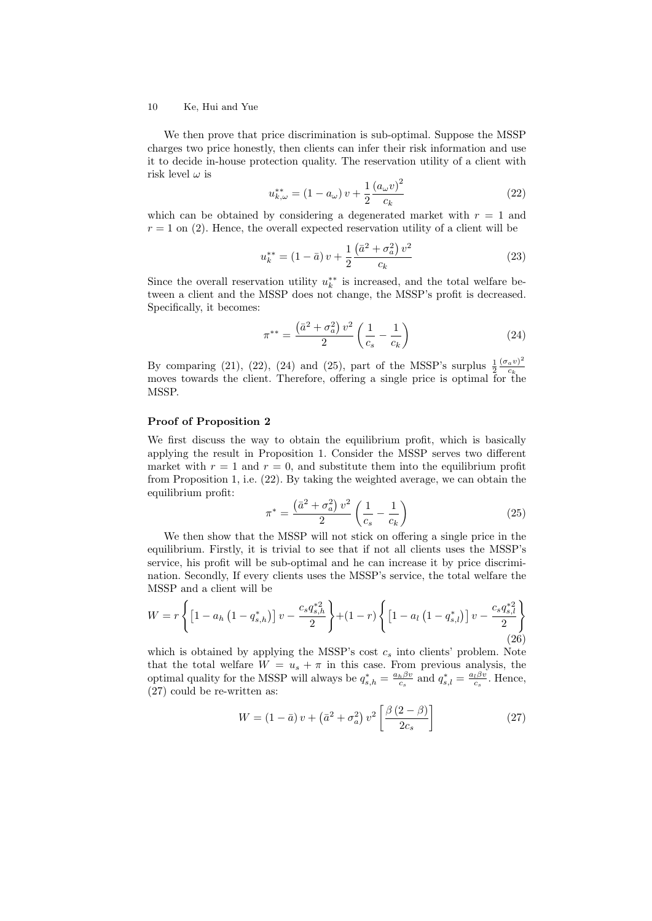We then prove that price discrimination is sub-optimal. Suppose the MSSP charges two price honestly, then clients can infer their risk information and use it to decide in-house protection quality. The reservation utility of a client with risk level  $\omega$  is

$$
u_{k,\omega}^{**} = (1 - a_{\omega})v + \frac{1}{2} \frac{(a_{\omega}v)^2}{c_k}
$$
 (22)

which can be obtained by considering a degenerated market with  $r = 1$  and  $r = 1$  on (2). Hence, the overall expected reservation utility of a client will be

$$
u_k^{**} = (1 - \bar{a}) v + \frac{1}{2} \frac{(\bar{a}^2 + \sigma_a^2) v^2}{c_k}
$$
 (23)

Since the overall reservation utility  $u_k^{**}$  is increased, and the total welfare between a client and the MSSP does not change, the MSSP's profit is decreased. Specifically, it becomes:

$$
\pi^{**} = \frac{\left(\bar{a}^2 + \sigma_a^2\right)v^2}{2} \left(\frac{1}{c_s} - \frac{1}{c_k}\right)
$$
\n(24)

By comparing (21), (22), (24) and (25), part of the MSSP's surplus  $\frac{1}{2} \frac{(\sigma_a v)^2}{c_k}$  $c_k$ moves towards the client. Therefore, offering a single price is optimal for the MSSP.

#### Proof of Proposition 2

We first discuss the way to obtain the equilibrium profit, which is basically applying the result in Proposition 1. Consider the MSSP serves two different market with  $r = 1$  and  $r = 0$ , and substitute them into the equilibrium profit from Proposition 1, i.e. (22). By taking the weighted average, we can obtain the equilibrium profit:

$$
\pi^* = \frac{(\bar{a}^2 + \sigma_a^2) v^2}{2} \left( \frac{1}{c_s} - \frac{1}{c_k} \right)
$$
 (25)

We then show that the MSSP will not stick on offering a single price in the equilibrium. Firstly, it is trivial to see that if not all clients uses the MSSP's service, his profit will be sub-optimal and he can increase it by price discrimination. Secondly, If every clients uses the MSSP's service, the total welfare the MSSP and a client will be

$$
W = r \left\{ \left[1 - a_h \left(1 - q_{s,h}^*\right)\right] v - \frac{c_s q_{s,h}^{*2}}{2} \right\} + (1 - r) \left\{ \left[1 - a_l \left(1 - q_{s,l}^*\right)\right] v - \frac{c_s q_{s,l}^{*2}}{2} \right\} \tag{26}
$$

which is obtained by applying the MSSP's cost  $c_s$  into clients' problem. Note that the total welfare  $W = u_s + \pi$  in this case. From previous analysis, the optimal quality for the MSSP will always be  $q_{s,h}^* = \frac{a_h \beta v}{c_s}$  and  $q_{s,l}^* = \frac{a_l \beta v}{c_s}$ . Hence, (27) could be re-written as:

$$
W = (1 - \bar{a})v + \left(\bar{a}^2 + \sigma_a^2\right)v^2 \left[\frac{\beta\left(2 - \beta\right)}{2c_s}\right]
$$
\n
$$
(27)
$$